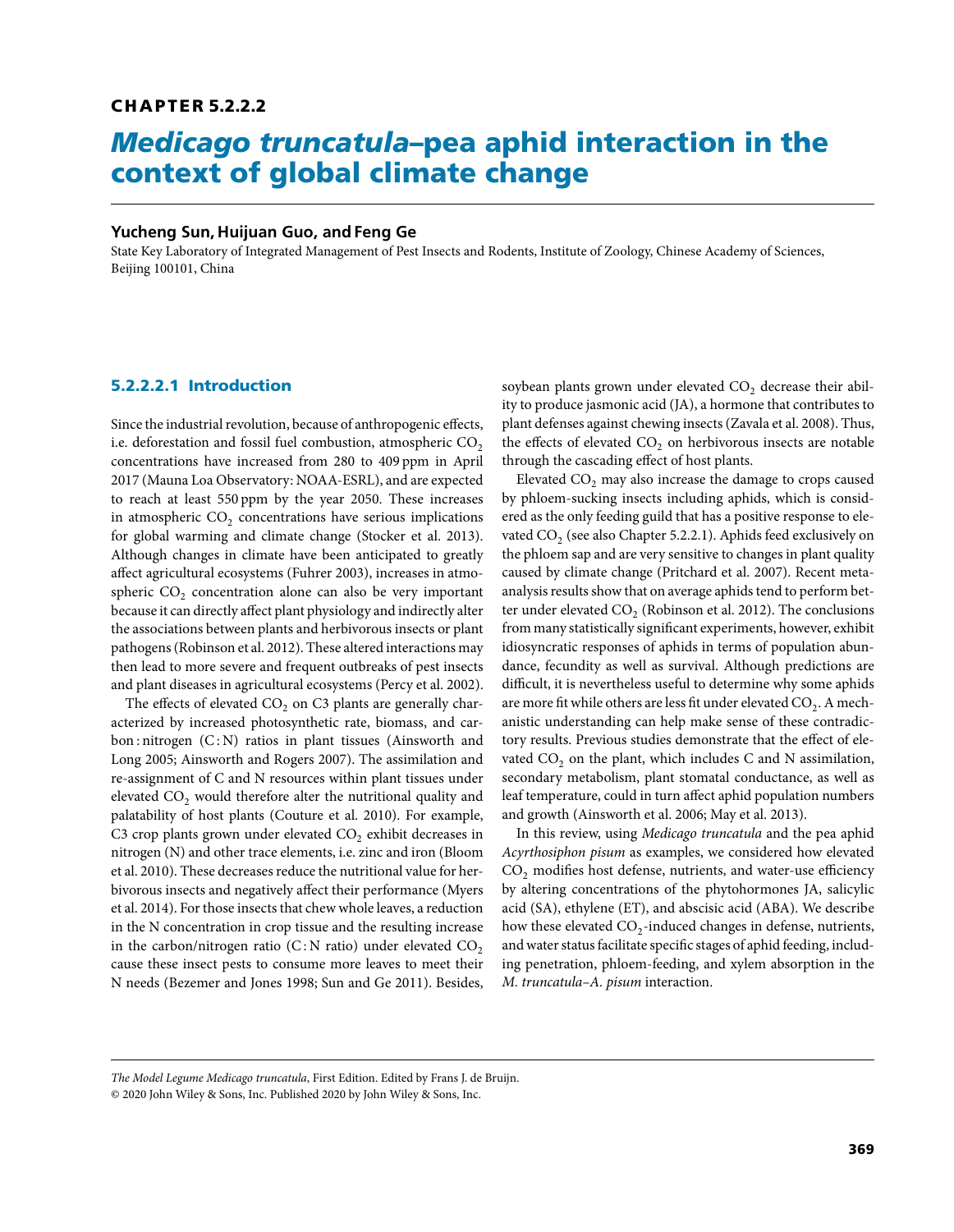# **C H A P T E R 5.2.2.2**

# *Medicago truncatula***–pea aphid interaction in the context of global climate change**

## **Yucheng Sun, Huijuan Guo, and Feng Ge**

State Key Laboratory of Integrated Management of Pest Insects and Rodents, Institute of Zoology, Chinese Academy of Sciences, Beijing 100101, China

## **5.2.2.2.1 Introduction**

Since the industrial revolution, because of anthropogenic effects, i.e. deforestation and fossil fuel combustion, atmospheric  $CO<sub>2</sub>$ concentrations have increased from 280 to 409 ppm in April 2017 (Mauna Loa Observatory: NOAA-ESRL), and are expected to reach at least 550 ppm by the year 2050. These increases in atmospheric  $CO<sub>2</sub>$  concentrations have serious implications for global warming and climate change (Stocker et al. 2013). Although changes in climate have been anticipated to greatly affect agricultural ecosystems (Fuhrer 2003), increases in atmospheric  $CO<sub>2</sub>$  concentration alone can also be very important because it can directly affect plant physiology and indirectly alter the associations between plants and herbivorous insects or plant pathogens (Robinson et al. 2012). These altered interactions may then lead to more severe and frequent outbreaks of pest insects and plant diseases in agricultural ecosystems (Percy et al. 2002).

The effects of elevated  $CO<sub>2</sub>$  on C3 plants are generally characterized by increased photosynthetic rate, biomass, and carbon : nitrogen (C: N) ratios in plant tissues (Ainsworth and Long 2005; Ainsworth and Rogers 2007). The assimilation and re-assignment of C and N resources within plant tissues under elevated CO<sub>2</sub> would therefore alter the nutritional quality and palatability of host plants (Couture et al. 2010). For example, C3 crop plants grown under elevated CO<sub>2</sub> exhibit decreases in nitrogen (N) and other trace elements, i.e. zinc and iron (Bloom et al. 2010). These decreases reduce the nutritional value for herbivorous insects and negatively affect their performance (Myers et al. 2014). For those insects that chew whole leaves, a reduction in the N concentration in crop tissue and the resulting increase in the carbon/nitrogen ratio  $(C:N \text{ ratio})$  under elevated  $CO<sub>2</sub>$ cause these insect pests to consume more leaves to meet their N needs (Bezemer and Jones 1998; Sun and Ge 2011). Besides,

soybean plants grown under elevated  $CO<sub>2</sub>$  decrease their ability to produce jasmonic acid (JA), a hormone that contributes to plant defenses against chewing insects (Zavala et al. 2008). Thus, the effects of elevated  $CO<sub>2</sub>$  on herbivorous insects are notable through the cascading effect of host plants.

Elevated CO<sub>2</sub> may also increase the damage to crops caused by phloem-sucking insects including aphids, which is considered as the only feeding guild that has a positive response to elevated  $CO<sub>2</sub>$  (see also Chapter 5.2.2.1). Aphids feed exclusively on the phloem sap and are very sensitive to changes in plant quality caused by climate change (Pritchard et al. 2007). Recent metaanalysis results show that on average aphids tend to perform better under elevated  $CO<sub>2</sub>$  (Robinson et al. 2012). The conclusions from many statistically significant experiments, however, exhibit idiosyncratic responses of aphids in terms of population abundance, fecundity as well as survival. Although predictions are difficult, it is nevertheless useful to determine why some aphids are more fit while others are less fit under elevated  $CO<sub>2</sub>$ . A mechanistic understanding can help make sense of these contradictory results. Previous studies demonstrate that the effect of elevated  $CO<sub>2</sub>$  on the plant, which includes C and N assimilation, secondary metabolism, plant stomatal conductance, as well as leaf temperature, could in turn affect aphid population numbers and growth (Ainsworth et al. 2006; May et al. 2013).

In this review, using *Medicago truncatula* and the pea aphid *Acyrthosiphon pisum* as examples, we considered how elevated CO<sub>2</sub> modifies host defense, nutrients, and water-use efficiency by altering concentrations of the phytohormones JA, salicylic acid (SA), ethylene (ET), and abscisic acid (ABA). We describe how these elevated  $CO_2$ -induced changes in defense, nutrients, and water status facilitate specific stages of aphid feeding, including penetration, phloem-feeding, and xylem absorption in the *M. truncatula–A. pisum* interaction.

*The Model Legume Medicago truncatula*, First Edition. Edited by Frans J. de Bruijn.

<sup>© 2020</sup> John Wiley & Sons, Inc. Published 2020 by John Wiley & Sons, Inc.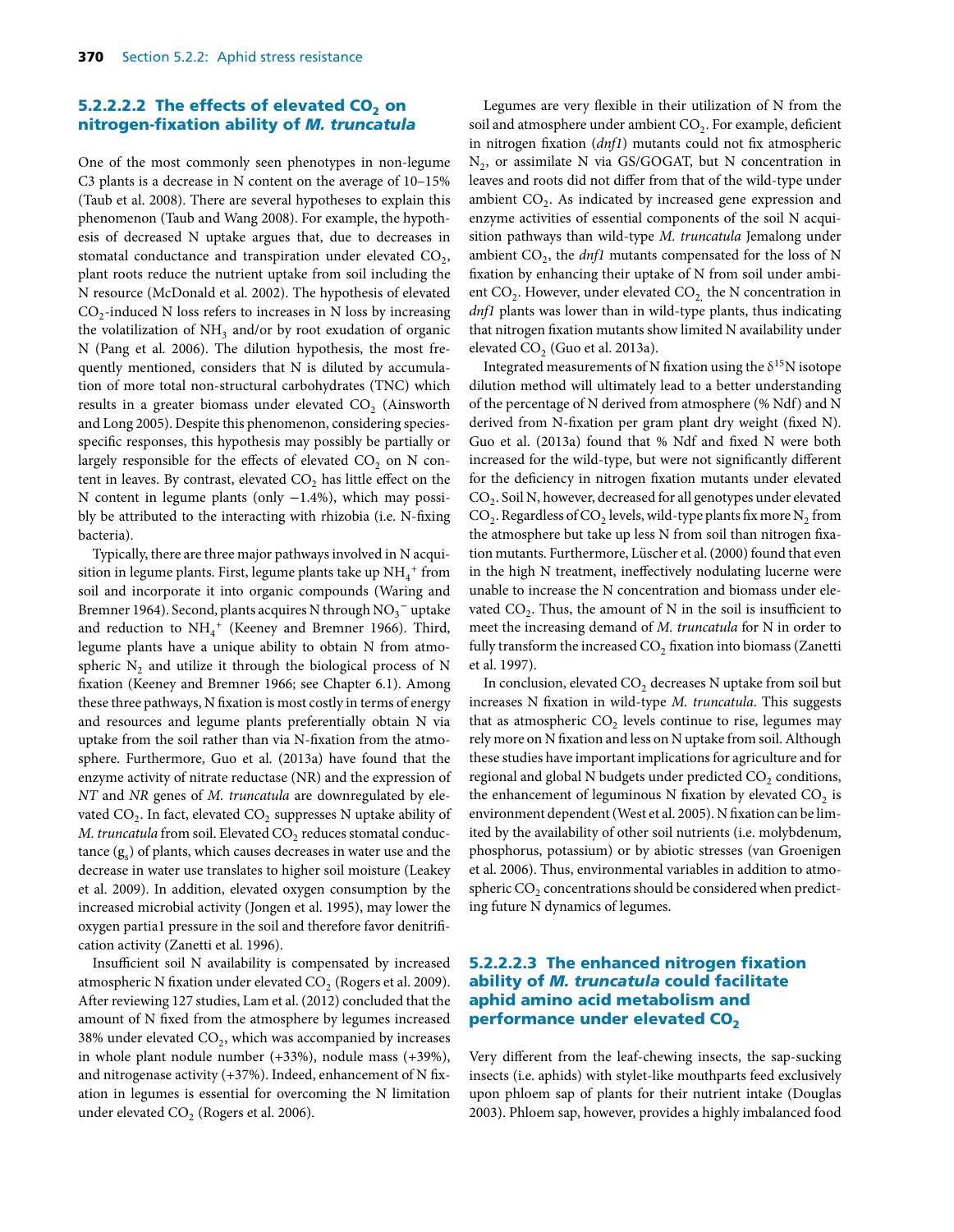#### **5.2.2.2.2 The effects of elevated CO<sub>2</sub> on nitrogen-fixation ability of** *M. truncatula*

One of the most commonly seen phenotypes in non-legume C3 plants is a decrease in N content on the average of 10–15% (Taub et al. 2008). There are several hypotheses to explain this phenomenon (Taub and Wang 2008). For example, the hypothesis of decreased N uptake argues that, due to decreases in stomatal conductance and transpiration under elevated  $CO<sub>2</sub>$ , plant roots reduce the nutrient uptake from soil including the N resource (McDonald et al. 2002). The hypothesis of elevated  $CO<sub>2</sub>$ -induced N loss refers to increases in N loss by increasing the volatilization of  $NH<sub>3</sub>$  and/or by root exudation of organic N (Pang et al. 2006). The dilution hypothesis, the most frequently mentioned, considers that N is diluted by accumulation of more total non-structural carbohydrates (TNC) which results in a greater biomass under elevated  $CO<sub>2</sub>$  (Ainsworth and Long 2005). Despite this phenomenon, considering speciesspecific responses, this hypothesis may possibly be partially or largely responsible for the effects of elevated  $CO<sub>2</sub>$  on N content in leaves. By contrast, elevated  $CO<sub>2</sub>$  has little effect on the N content in legume plants (only −1.4%), which may possibly be attributed to the interacting with rhizobia (i.e. N-fixing bacteria).

Typically, there are three major pathways involved in N acquisition in legume plants. First, legume plants take up  $\mathrm{NH}_4^+$  from soil and incorporate it into organic compounds (Waring and Bremner 1964). Second, plants acquires N through  $\mathrm{NO_3}^-$  uptake and reduction to  $NH_4$ <sup>+</sup> (Keeney and Bremner 1966). Third, legume plants have a unique ability to obtain N from atmospheric  $N<sub>2</sub>$  and utilize it through the biological process of N fixation (Keeney and Bremner 1966; see Chapter 6.1). Among these three pathways, N fixation is most costly in terms of energy and resources and legume plants preferentially obtain N via uptake from the soil rather than via N-fixation from the atmosphere. Furthermore, Guo et al. (2013a) have found that the enzyme activity of nitrate reductase (NR) and the expression of *NT* and *NR* genes of *M. truncatula* are downregulated by elevated  $CO_2$ . In fact, elevated  $CO_2$  suppresses N uptake ability of *M. truncatula* from soil. Elevated CO<sub>2</sub> reduces stomatal conductance  $(g_s)$  of plants, which causes decreases in water use and the decrease in water use translates to higher soil moisture (Leakey et al. 2009). In addition, elevated oxygen consumption by the increased microbial activity (Jongen et al. 1995), may lower the oxygen partia1 pressure in the soil and therefore favor denitrification activity (Zanetti et al. 1996).

Insufficient soil N availability is compensated by increased atmospheric N fixation under elevated CO<sub>2</sub> (Rogers et al. 2009). After reviewing 127 studies, Lam et al. (2012) concluded that the amount of N fixed from the atmosphere by legumes increased 38% under elevated  $CO<sub>2</sub>$ , which was accompanied by increases in whole plant nodule number (+33%), nodule mass (+39%), and nitrogenase activity (+37%). Indeed, enhancement of N fixation in legumes is essential for overcoming the N limitation under elevated  $CO<sub>2</sub>$  (Rogers et al. 2006).

Legumes are very flexible in their utilization of N from the soil and atmosphere under ambient  $CO<sub>2</sub>$ . For example, deficient in nitrogen fixation (*dnf1*) mutants could not fix atmospheric  $N_2$ , or assimilate N via GS/GOGAT, but N concentration in leaves and roots did not differ from that of the wild-type under ambient  $CO<sub>2</sub>$ . As indicated by increased gene expression and enzyme activities of essential components of the soil N acquisition pathways than wild-type *M. truncatula* Jemalong under ambient  $CO<sub>2</sub>$ , the *dnf1* mutants compensated for the loss of N fixation by enhancing their uptake of N from soil under ambient  $CO<sub>2</sub>$ . However, under elevated  $CO<sub>2</sub>$  the N concentration in *dnf1* plants was lower than in wild-type plants, thus indicating that nitrogen fixation mutants show limited N availability under elevated CO<sub>2</sub> (Guo et al. 2013a).

Integrated measurements of N fixation using the  $\delta^{15}N$  isotope dilution method will ultimately lead to a better understanding of the percentage of N derived from atmosphere (% Ndf) and N derived from N-fixation per gram plant dry weight (fixed N). Guo et al. (2013a) found that % Ndf and fixed N were both increased for the wild-type, but were not significantly different for the deficiency in nitrogen fixation mutants under elevated  $CO<sub>2</sub>$ . Soil N, however, decreased for all genotypes under elevated  $CO<sub>2</sub>$ . Regardless of  $CO<sub>2</sub>$  levels, wild-type plants fix more N<sub>2</sub> from the atmosphere but take up less N from soil than nitrogen fixation mutants. Furthermore, Lüscher et al. (2000) found that even in the high N treatment, ineffectively nodulating lucerne were unable to increase the N concentration and biomass under elevated  $CO<sub>2</sub>$ . Thus, the amount of N in the soil is insufficient to meet the increasing demand of *M. truncatula* for N in order to fully transform the increased  $\mathrm{CO}_2$  fixation into biomass (Zanetti et al. 1997).

In conclusion, elevated  $CO<sub>2</sub>$  decreases N uptake from soil but increases N fixation in wild-type *M. truncatula*. This suggests that as atmospheric  $CO<sub>2</sub>$  levels continue to rise, legumes may rely more on N fixation and less on N uptake from soil. Although these studies have important implications for agriculture and for regional and global N budgets under predicted  $CO<sub>2</sub>$  conditions, the enhancement of leguminous  $N$  fixation by elevated  $CO<sub>2</sub>$  is environment dependent (West et al. 2005). N fixation can be limited by the availability of other soil nutrients (i.e. molybdenum, phosphorus, potassium) or by abiotic stresses (van Groenigen et al. 2006). Thus, environmental variables in addition to atmospheric  $CO<sub>2</sub>$  concentrations should be considered when predicting future N dynamics of legumes.

# **5.2.2.2.3 The enhanced nitrogen fixation ability of** *M. truncatula* **could facilitate aphid amino acid metabolism and performance under elevated CO<sub>2</sub>**

Very different from the leaf-chewing insects, the sap-sucking insects (i.e. aphids) with stylet-like mouthparts feed exclusively upon phloem sap of plants for their nutrient intake (Douglas 2003). Phloem sap, however, provides a highly imbalanced food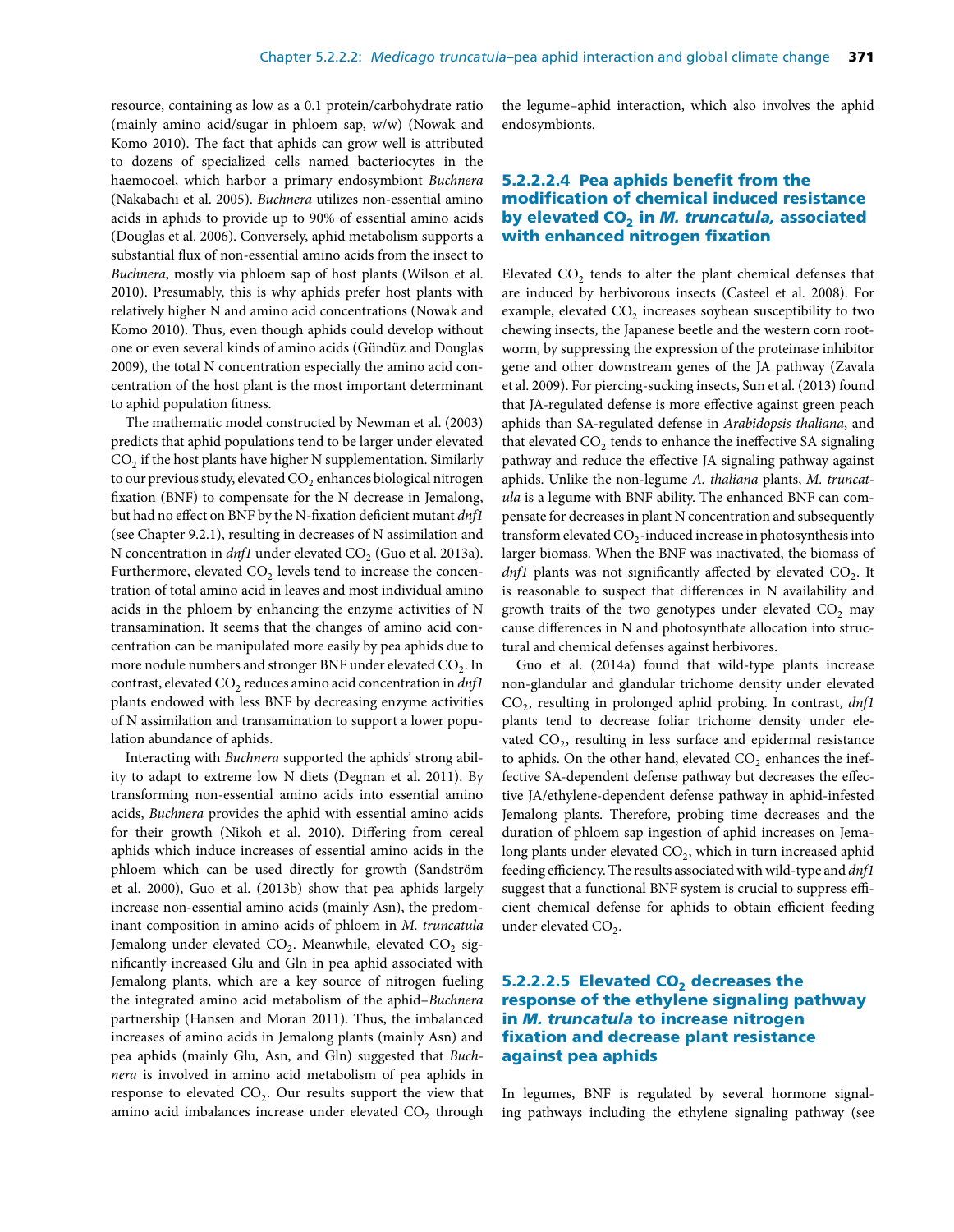resource, containing as low as a 0.1 protein/carbohydrate ratio (mainly amino acid/sugar in phloem sap, w/w) (Nowak and Komo 2010). The fact that aphids can grow well is attributed to dozens of specialized cells named bacteriocytes in the haemocoel, which harbor a primary endosymbiont *Buchnera* (Nakabachi et al. 2005). *Buchnera* utilizes non-essential amino acids in aphids to provide up to 90% of essential amino acids (Douglas et al. 2006). Conversely, aphid metabolism supports a substantial flux of non-essential amino acids from the insect to *Buchnera*, mostly via phloem sap of host plants (Wilson et al. 2010). Presumably, this is why aphids prefer host plants with relatively higher N and amino acid concentrations (Nowak and Komo 2010). Thus, even though aphids could develop without one or even several kinds of amino acids (Gündüz and Douglas 2009), the total N concentration especially the amino acid concentration of the host plant is the most important determinant to aphid population fitness.

The mathematic model constructed by Newman et al. (2003) predicts that aphid populations tend to be larger under elevated CO<sub>2</sub> if the host plants have higher N supplementation. Similarly to our previous study, elevated CO<sub>2</sub> enhances biological nitrogen fixation (BNF) to compensate for the N decrease in Jemalong, but had no effect on BNF by the N-fixation deficient mutant *dnf1* (see Chapter 9.2.1), resulting in decreases of N assimilation and N concentration in  $dnf1$  under elevated  $CO<sub>2</sub>$  (Guo et al. 2013a). Furthermore, elevated  $CO<sub>2</sub>$  levels tend to increase the concentration of total amino acid in leaves and most individual amino acids in the phloem by enhancing the enzyme activities of N transamination. It seems that the changes of amino acid concentration can be manipulated more easily by pea aphids due to more nodule numbers and stronger BNF under elevated CO<sub>2</sub>. In contrast, elevated CO<sub>2</sub> reduces amino acid concentration in *dnf1* plants endowed with less BNF by decreasing enzyme activities of N assimilation and transamination to support a lower population abundance of aphids.

Interacting with *Buchnera* supported the aphids' strong ability to adapt to extreme low N diets (Degnan et al. 2011). By transforming non-essential amino acids into essential amino acids, *Buchnera* provides the aphid with essential amino acids for their growth (Nikoh et al. 2010). Differing from cereal aphids which induce increases of essential amino acids in the phloem which can be used directly for growth (Sandström et al. 2000), Guo et al. (2013b) show that pea aphids largely increase non-essential amino acids (mainly Asn), the predominant composition in amino acids of phloem in *M. truncatula* Jemalong under elevated CO<sub>2</sub>. Meanwhile, elevated CO<sub>2</sub> significantly increased Glu and Gln in pea aphid associated with Jemalong plants, which are a key source of nitrogen fueling the integrated amino acid metabolism of the aphid–*Buchnera* partnership (Hansen and Moran 2011). Thus, the imbalanced increases of amino acids in Jemalong plants (mainly Asn) and pea aphids (mainly Glu, Asn, and Gln) suggested that *Buchnera* is involved in amino acid metabolism of pea aphids in response to elevated  $CO<sub>2</sub>$ . Our results support the view that amino acid imbalances increase under elevated  $CO<sub>2</sub>$  through

the legume–aphid interaction, which also involves the aphid endosymbionts.

# **5.2.2.2.4 Pea aphids benefit from the modification of chemical induced resistance by elevated CO2 in** *M. truncatula,* **associated with enhanced nitrogen fixation**

Elevated  $CO<sub>2</sub>$  tends to alter the plant chemical defenses that are induced by herbivorous insects (Casteel et al. 2008). For example, elevated  $CO<sub>2</sub>$  increases soybean susceptibility to two chewing insects, the Japanese beetle and the western corn rootworm, by suppressing the expression of the proteinase inhibitor gene and other downstream genes of the JA pathway (Zavala et al. 2009). For piercing-sucking insects, Sun et al. (2013) found that JA-regulated defense is more effective against green peach aphids than SA-regulated defense in *Arabidopsis thaliana*, and that elevated  $CO<sub>2</sub>$  tends to enhance the ineffective SA signaling pathway and reduce the effective JA signaling pathway against aphids. Unlike the non-legume *A. thaliana* plants, *M. truncatula* is a legume with BNF ability. The enhanced BNF can compensate for decreases in plant N concentration and subsequently transform elevated  $CO_2$ -induced increase in photosynthesis into larger biomass. When the BNF was inactivated, the biomass of  $dnf1$  plants was not significantly affected by elevated  $CO<sub>2</sub>$ . It is reasonable to suspect that differences in N availability and growth traits of the two genotypes under elevated  $CO<sub>2</sub>$  may cause differences in N and photosynthate allocation into structural and chemical defenses against herbivores.

Guo et al. (2014a) found that wild-type plants increase non-glandular and glandular trichome density under elevated CO2, resulting in prolonged aphid probing. In contrast, *dnf1* plants tend to decrease foliar trichome density under elevated  $CO<sub>2</sub>$ , resulting in less surface and epidermal resistance to aphids. On the other hand, elevated  $CO<sub>2</sub>$  enhances the ineffective SA-dependent defense pathway but decreases the effective JA/ethylene-dependent defense pathway in aphid-infested Jemalong plants. Therefore, probing time decreases and the duration of phloem sap ingestion of aphid increases on Jemalong plants under elevated  $CO<sub>2</sub>$ , which in turn increased aphid feeding efficiency. The results associated with wild-type and *dnf1* suggest that a functional BNF system is crucial to suppress efficient chemical defense for aphids to obtain efficient feeding under elevated CO<sub>2</sub>.

## **5.2.2.2.5 Elevated CO<sub>2</sub> decreases the response of the ethylene signaling pathway in** *M. truncatula* **to increase nitrogen fixation and decrease plant resistance against pea aphids**

In legumes, BNF is regulated by several hormone signaling pathways including the ethylene signaling pathway (see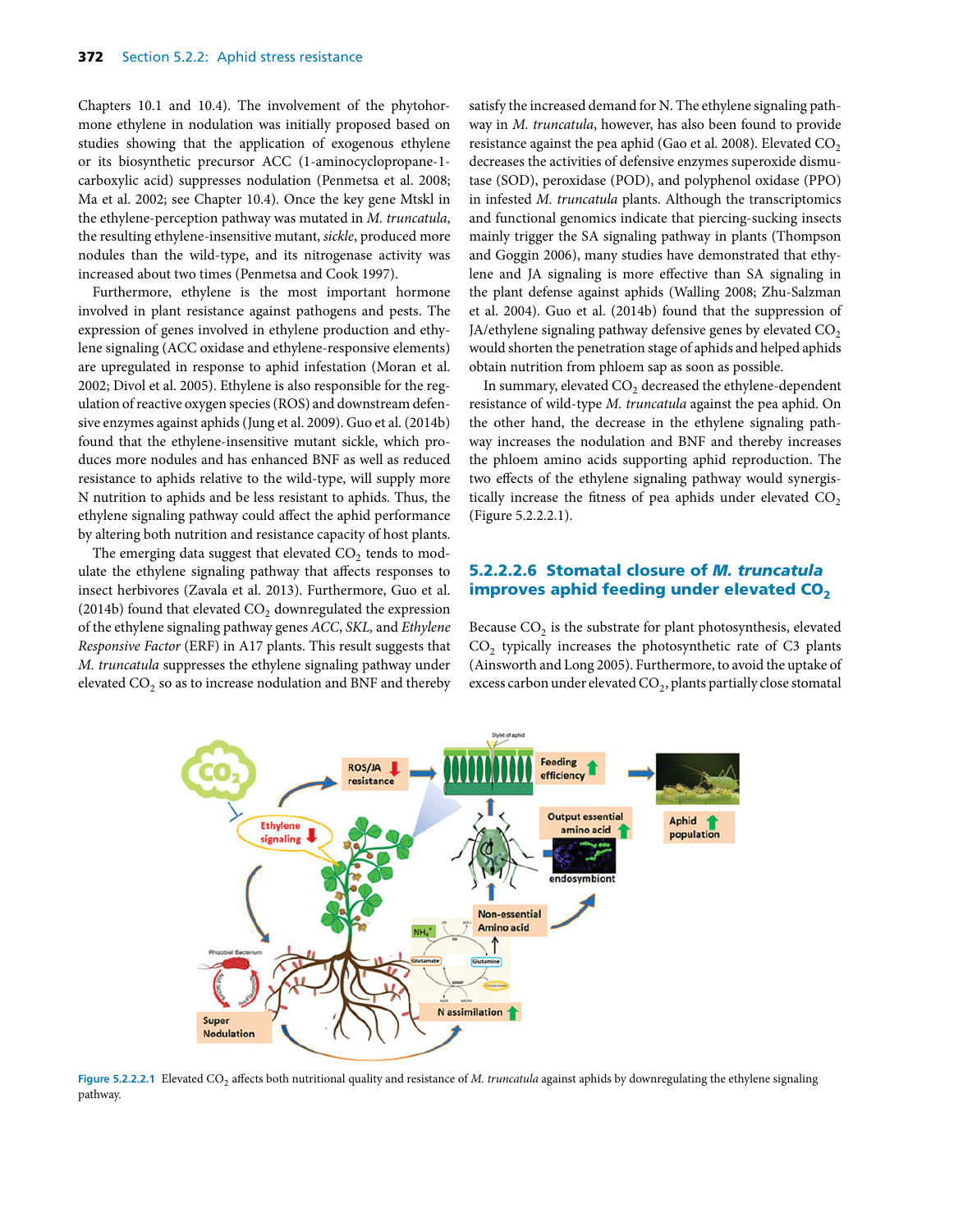Chapters 10.1 and 10.4). The involvement of the phytohormone ethylene in nodulation was initially proposed based on studies showing that the application of exogenous ethylene or its biosynthetic precursor ACC (1-aminocyclopropane-1 carboxylic acid) suppresses nodulation (Penmetsa et al. 2008; Ma et al. 2002; see Chapter 10.4). Once the key gene Mtskl in the ethylene-perception pathway was mutated in *M. truncatula*, the resulting ethylene-insensitive mutant, *sickle*, produced more nodules than the wild-type, and its nitrogenase activity was increased about two times (Penmetsa and Cook 1997).

Furthermore, ethylene is the most important hormone involved in plant resistance against pathogens and pests. The expression of genes involved in ethylene production and ethylene signaling (ACC oxidase and ethylene-responsive elements) are upregulated in response to aphid infestation (Moran et al. 2002; Divol et al. 2005). Ethylene is also responsible for the regulation of reactive oxygen species (ROS) and downstream defensive enzymes against aphids (Jung et al. 2009). Guo et al. (2014b) found that the ethylene-insensitive mutant sickle, which produces more nodules and has enhanced BNF as well as reduced resistance to aphids relative to the wild-type, will supply more N nutrition to aphids and be less resistant to aphids. Thus, the ethylene signaling pathway could affect the aphid performance by altering both nutrition and resistance capacity of host plants.

The emerging data suggest that elevated  $CO<sub>2</sub>$  tends to modulate the ethylene signaling pathway that affects responses to insect herbivores (Zavala et al. 2013). Furthermore, Guo et al. (2014b) found that elevated  $CO<sub>2</sub>$  downregulated the expression of the ethylene signaling pathway genes *ACC*, *SKL,* and *Ethylene Responsive Factor* (ERF) in A17 plants. This result suggests that *M. truncatula* suppresses the ethylene signaling pathway under elevated  $CO<sub>2</sub>$  so as to increase nodulation and BNF and thereby

satisfy the increased demand for N. The ethylene signaling pathway in *M. truncatula*, however, has also been found to provide resistance against the pea aphid (Gao et al. 2008). Elevated CO<sub>2</sub> decreases the activities of defensive enzymes superoxide dismutase (SOD), peroxidase (POD), and polyphenol oxidase (PPO) in infested *M. truncatula* plants. Although the transcriptomics and functional genomics indicate that piercing-sucking insects mainly trigger the SA signaling pathway in plants (Thompson and Goggin 2006), many studies have demonstrated that ethylene and JA signaling is more effective than SA signaling in the plant defense against aphids (Walling 2008; Zhu-Salzman et al. 2004). Guo et al. (2014b) found that the suppression of JA/ethylene signaling pathway defensive genes by elevated  $CO<sub>2</sub>$ would shorten the penetration stage of aphids and helped aphids obtain nutrition from phloem sap as soon as possible.

In summary, elevated CO<sub>2</sub> decreased the ethylene-dependent resistance of wild-type *M. truncatula* against the pea aphid. On the other hand, the decrease in the ethylene signaling pathway increases the nodulation and BNF and thereby increases the phloem amino acids supporting aphid reproduction. The two effects of the ethylene signaling pathway would synergistically increase the fitness of pea aphids under elevated  $CO<sub>2</sub>$ (Figure 5.2.2.2.1).

# **5.2.2.2.6 Stomatal closure of** *M. truncatula* **improves aphid feeding under elevated CO<sub>2</sub>**

Because  $CO<sub>2</sub>$  is the substrate for plant photosynthesis, elevated CO<sub>2</sub> typically increases the photosynthetic rate of C3 plants (Ainsworth and Long 2005). Furthermore, to avoid the uptake of excess carbon under elevated CO<sub>2</sub>, plants partially close stomatal



Figure 5.2.2.2.1 Elevated CO<sub>2</sub> affects both nutritional quality and resistance of *M. truncatula* against aphids by downregulating the ethylene signaling pathway.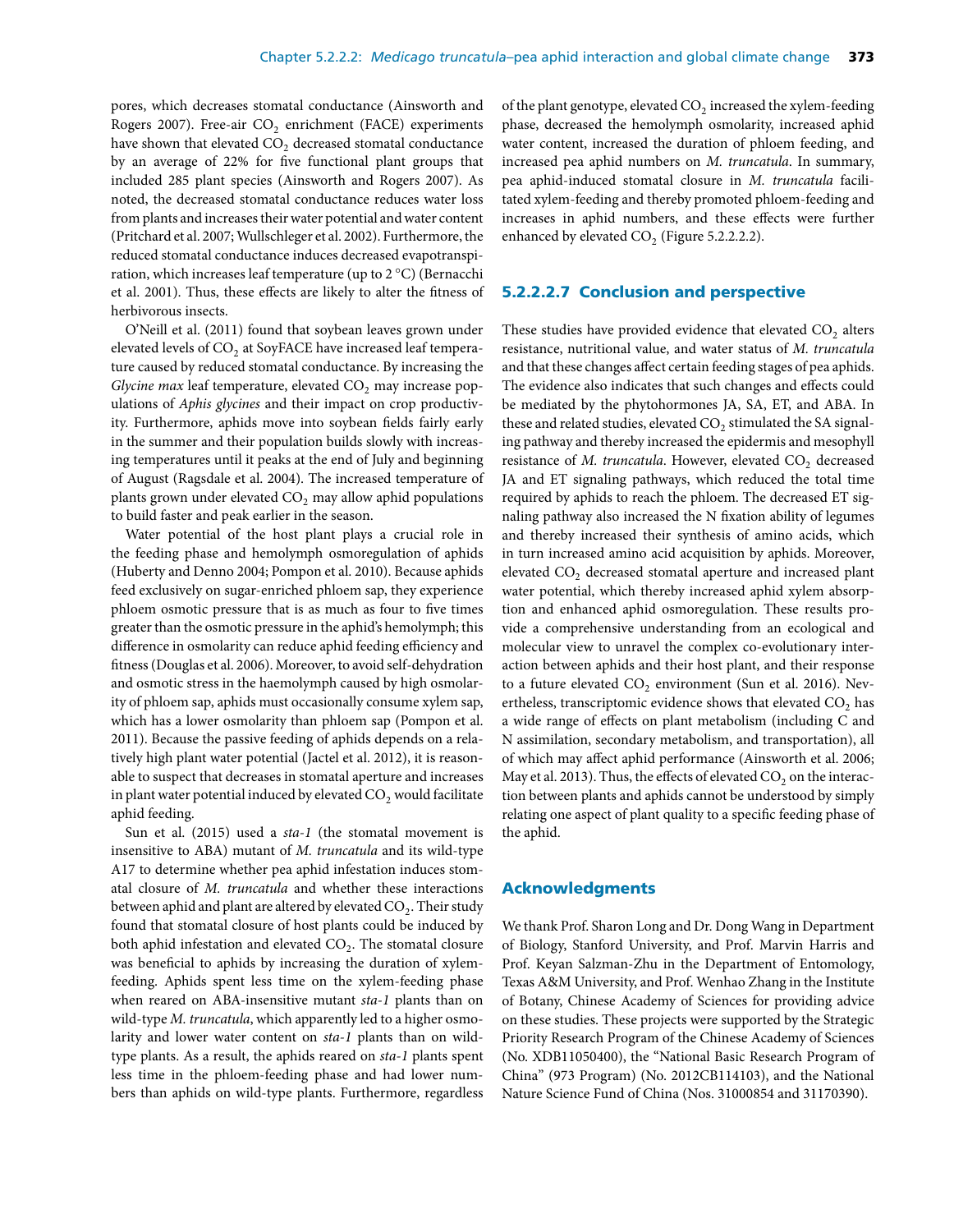pores, which decreases stomatal conductance (Ainsworth and Rogers 2007). Free-air  $CO<sub>2</sub>$  enrichment (FACE) experiments have shown that elevated  $CO<sub>2</sub>$  decreased stomatal conductance by an average of 22% for five functional plant groups that included 285 plant species (Ainsworth and Rogers 2007). As noted, the decreased stomatal conductance reduces water loss from plants and increases their water potential and water content (Pritchard et al. 2007; Wullschleger et al. 2002). Furthermore, the reduced stomatal conductance induces decreased evapotranspiration, which increases leaf temperature (up to 2 °C) (Bernacchi et al. 2001). Thus, these effects are likely to alter the fitness of herbivorous insects.

O'Neill et al. (2011) found that soybean leaves grown under elevated levels of CO<sub>2</sub> at SoyFACE have increased leaf temperature caused by reduced stomatal conductance. By increasing the *Glycine max* leaf temperature, elevated CO<sub>2</sub> may increase populations of *Aphis glycines* and their impact on crop productivity. Furthermore, aphids move into soybean fields fairly early in the summer and their population builds slowly with increasing temperatures until it peaks at the end of July and beginning of August (Ragsdale et al. 2004). The increased temperature of plants grown under elevated  $CO<sub>2</sub>$  may allow aphid populations to build faster and peak earlier in the season.

Water potential of the host plant plays a crucial role in the feeding phase and hemolymph osmoregulation of aphids (Huberty and Denno 2004; Pompon et al. 2010). Because aphids feed exclusively on sugar-enriched phloem sap, they experience phloem osmotic pressure that is as much as four to five times greater than the osmotic pressure in the aphid's hemolymph; this difference in osmolarity can reduce aphid feeding efficiency and fitness (Douglas et al. 2006). Moreover, to avoid self-dehydration and osmotic stress in the haemolymph caused by high osmolarity of phloem sap, aphids must occasionally consume xylem sap, which has a lower osmolarity than phloem sap (Pompon et al. 2011). Because the passive feeding of aphids depends on a relatively high plant water potential (Jactel et al. 2012), it is reasonable to suspect that decreases in stomatal aperture and increases in plant water potential induced by elevated  $CO<sub>2</sub>$  would facilitate aphid feeding.

Sun et al. (2015) used a *sta-1* (the stomatal movement is insensitive to ABA) mutant of *M. truncatula* and its wild-type A17 to determine whether pea aphid infestation induces stomatal closure of *M. truncatula* and whether these interactions between aphid and plant are altered by elevated  $CO<sub>2</sub>$ . Their study found that stomatal closure of host plants could be induced by both aphid infestation and elevated  $CO<sub>2</sub>$ . The stomatal closure was beneficial to aphids by increasing the duration of xylemfeeding. Aphids spent less time on the xylem-feeding phase when reared on ABA-insensitive mutant *sta-1* plants than on wild-type *M. truncatula*, which apparently led to a higher osmolarity and lower water content on *sta-1* plants than on wildtype plants. As a result, the aphids reared on *sta-1* plants spent less time in the phloem-feeding phase and had lower numbers than aphids on wild-type plants. Furthermore, regardless of the plant genotype, elevated  $CO<sub>2</sub>$  increased the xylem-feeding phase, decreased the hemolymph osmolarity, increased aphid water content, increased the duration of phloem feeding, and increased pea aphid numbers on *M. truncatula*. In summary, pea aphid-induced stomatal closure in *M. truncatula* facilitated xylem-feeding and thereby promoted phloem-feeding and increases in aphid numbers, and these effects were further enhanced by elevated  $CO<sub>2</sub>$  (Figure 5.2.2.2.2).

#### **5.2.2.2.7 Conclusion and perspective**

These studies have provided evidence that elevated  $CO<sub>2</sub>$  alters resistance, nutritional value, and water status of *M. truncatula* and that these changes affect certain feeding stages of pea aphids. The evidence also indicates that such changes and effects could be mediated by the phytohormones JA, SA, ET, and ABA. In these and related studies, elevated  $CO<sub>2</sub>$  stimulated the SA signaling pathway and thereby increased the epidermis and mesophyll resistance of *M. truncatula*. However, elevated CO<sub>2</sub> decreased JA and ET signaling pathways, which reduced the total time required by aphids to reach the phloem. The decreased ET signaling pathway also increased the N fixation ability of legumes and thereby increased their synthesis of amino acids, which in turn increased amino acid acquisition by aphids. Moreover, elevated CO<sub>2</sub> decreased stomatal aperture and increased plant water potential, which thereby increased aphid xylem absorption and enhanced aphid osmoregulation. These results provide a comprehensive understanding from an ecological and molecular view to unravel the complex co-evolutionary interaction between aphids and their host plant, and their response to a future elevated  $CO<sub>2</sub>$  environment (Sun et al. 2016). Nevertheless, transcriptomic evidence shows that elevated  $CO<sub>2</sub>$  has a wide range of effects on plant metabolism (including C and N assimilation, secondary metabolism, and transportation), all of which may affect aphid performance (Ainsworth et al. 2006; May et al. 2013). Thus, the effects of elevated  $CO<sub>2</sub>$  on the interaction between plants and aphids cannot be understood by simply relating one aspect of plant quality to a specific feeding phase of the aphid.

#### **Acknowledgments**

We thank Prof. Sharon Long and Dr. Dong Wang in Department of Biology, Stanford University, and Prof. Marvin Harris and Prof. Keyan Salzman-Zhu in the Department of Entomology, Texas A&M University, and Prof. Wenhao Zhang in the Institute of Botany, Chinese Academy of Sciences for providing advice on these studies. These projects were supported by the Strategic Priority Research Program of the Chinese Academy of Sciences (No. XDB11050400), the "National Basic Research Program of China" (973 Program) (No. 2012CB114103), and the National Nature Science Fund of China (Nos. 31000854 and 31170390).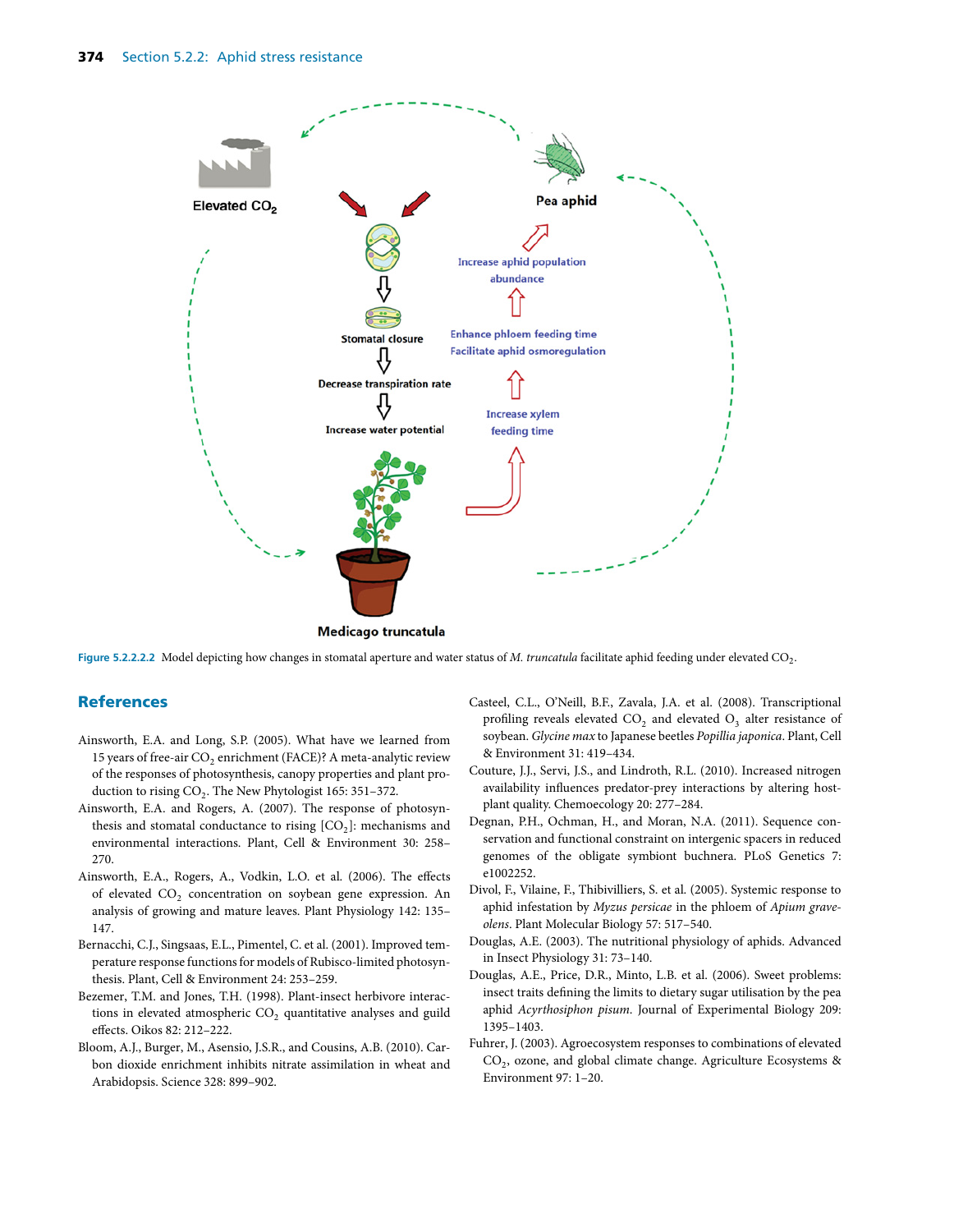

Medicago truncatula

Figure 5.2.2.2.2 Model depicting how changes in stomatal aperture and water status of *M. truncatula* facilitate aphid feeding under elevated CO<sub>2</sub>.

#### **References**

- Ainsworth, E.A. and Long, S.P. (2005). What have we learned from 15 years of free-air  $CO<sub>2</sub>$  enrichment (FACE)? A meta-analytic review of the responses of photosynthesis, canopy properties and plant production to rising  $CO<sub>2</sub>$ . The New Phytologist 165: 351–372.
- Ainsworth, E.A. and Rogers, A. (2007). The response of photosynthesis and stomatal conductance to rising  $[CO<sub>2</sub>]$ : mechanisms and environmental interactions. Plant, Cell & Environment 30: 258– 270.
- Ainsworth, E.A., Rogers, A., Vodkin, L.O. et al. (2006). The effects of elevated  $CO<sub>2</sub>$  concentration on soybean gene expression. An analysis of growing and mature leaves. Plant Physiology 142: 135– 147.
- Bernacchi, C.J., Singsaas, E.L., Pimentel, C. et al. (2001). Improved temperature response functions for models of Rubisco-limited photosynthesis. Plant, Cell & Environment 24: 253–259.
- Bezemer, T.M. and Jones, T.H. (1998). Plant-insect herbivore interactions in elevated atmospheric CO<sub>2</sub> quantitative analyses and guild effects. Oikos 82: 212–222.
- Bloom, A.J., Burger, M., Asensio, J.S.R., and Cousins, A.B. (2010). Carbon dioxide enrichment inhibits nitrate assimilation in wheat and Arabidopsis. Science 328: 899–902.
- Casteel, C.L., O'Neill, B.F., Zavala, J.A. et al. (2008). Transcriptional profiling reveals elevated  $CO<sub>2</sub>$  and elevated  $O<sub>3</sub>$  alter resistance of soybean. *Glycine max* to Japanese beetles *Popillia japonica*. Plant, Cell & Environment 31: 419–434.
- Couture, J.J., Servi, J.S., and Lindroth, R.L. (2010). Increased nitrogen availability influences predator-prey interactions by altering hostplant quality. Chemoecology 20: 277–284.
- Degnan, P.H., Ochman, H., and Moran, N.A. (2011). Sequence conservation and functional constraint on intergenic spacers in reduced genomes of the obligate symbiont buchnera. PLoS Genetics 7: e1002252.
- Divol, F., Vilaine, F., Thibivilliers, S. et al. (2005). Systemic response to aphid infestation by *Myzus persicae* in the phloem of *Apium graveolens*. Plant Molecular Biology 57: 517–540.
- Douglas, A.E. (2003). The nutritional physiology of aphids. Advanced in Insect Physiology 31: 73–140.
- Douglas, A.E., Price, D.R., Minto, L.B. et al. (2006). Sweet problems: insect traits defining the limits to dietary sugar utilisation by the pea aphid *Acyrthosiphon pisum*. Journal of Experimental Biology 209: 1395–1403.
- Fuhrer, J. (2003). Agroecosystem responses to combinations of elevated CO<sub>2</sub>, ozone, and global climate change. Agriculture Ecosystems & Environment 97: 1–20.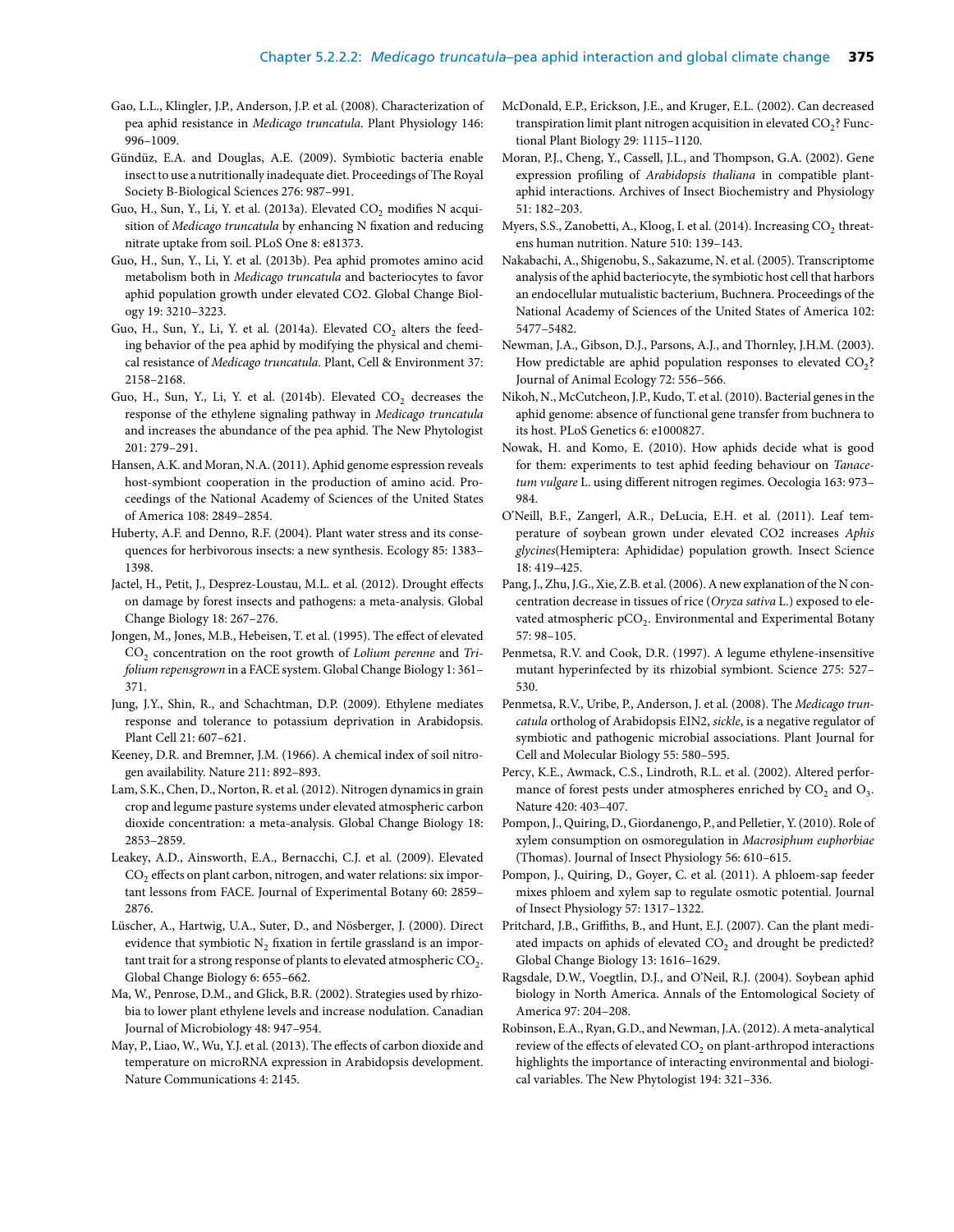- Gao, L.L., Klingler, J.P., Anderson, J.P. et al. (2008). Characterization of pea aphid resistance in *Medicago truncatula*. Plant Physiology 146: 996–1009.
- Gündüz, E.A. and Douglas, A.E. (2009). Symbiotic bacteria enable insect to use a nutritionally inadequate diet. Proceedings of The Royal Society B-Biological Sciences 276: 987–991.
- Guo, H., Sun, Y., Li, Y. et al. (2013a). Elevated CO<sub>2</sub> modifies N acquisition of *Medicago truncatula* by enhancing N fixation and reducing nitrate uptake from soil. PLoS One 8: e81373.
- Guo, H., Sun, Y., Li, Y. et al. (2013b). Pea aphid promotes amino acid metabolism both in *Medicago truncatula* and bacteriocytes to favor aphid population growth under elevated CO2. Global Change Biology 19: 3210–3223.
- Guo, H., Sun, Y., Li, Y. et al. (2014a). Elevated  $CO<sub>2</sub>$  alters the feeding behavior of the pea aphid by modifying the physical and chemical resistance of *Medicago truncatula*. Plant, Cell & Environment 37: 2158–2168.
- Guo, H., Sun, Y., Li, Y. et al. (2014b). Elevated  $CO<sub>2</sub>$  decreases the response of the ethylene signaling pathway in *Medicago truncatula* and increases the abundance of the pea aphid. The New Phytologist 201: 279–291.
- Hansen, A.K. and Moran, N.A. (2011). Aphid genome espression reveals host-symbiont cooperation in the production of amino acid. Proceedings of the National Academy of Sciences of the United States of America 108: 2849–2854.
- Huberty, A.F. and Denno, R.F. (2004). Plant water stress and its consequences for herbivorous insects: a new synthesis. Ecology 85: 1383– 1398.
- Jactel, H., Petit, J., Desprez-Loustau, M.L. et al. (2012). Drought effects on damage by forest insects and pathogens: a meta-analysis. Global Change Biology 18: 267–276.
- Jongen, M., Jones, M.B., Hebeisen, T. et al. (1995). The effect of elevated CO<sub>2</sub> concentration on the root growth of *Lolium perenne* and *Trifolium repensgrown* in a FACE system. Global Change Biology 1: 361– 371.
- Jung, J.Y., Shin, R., and Schachtman, D.P. (2009). Ethylene mediates response and tolerance to potassium deprivation in Arabidopsis. Plant Cell 21: 607–621.
- Keeney, D.R. and Bremner, J.M. (1966). A chemical index of soil nitrogen availability. Nature 211: 892–893.
- Lam, S.K., Chen, D., Norton, R. et al. (2012). Nitrogen dynamics in grain crop and legume pasture systems under elevated atmospheric carbon dioxide concentration: a meta-analysis. Global Change Biology 18: 2853–2859.
- Leakey, A.D., Ainsworth, E.A., Bernacchi, C.J. et al. (2009). Elevated  $CO<sub>2</sub>$  effects on plant carbon, nitrogen, and water relations: six important lessons from FACE. Journal of Experimental Botany 60: 2859– 2876.
- Lüscher, A., Hartwig, U.A., Suter, D., and Nösberger, J. (2000). Direct evidence that symbiotic  $N_2$  fixation in fertile grassland is an important trait for a strong response of plants to elevated atmospheric  $CO<sub>2</sub>$ . Global Change Biology 6: 655–662.
- Ma, W., Penrose, D.M., and Glick, B.R. (2002). Strategies used by rhizobia to lower plant ethylene levels and increase nodulation. Canadian Journal of Microbiology 48: 947–954.
- May, P., Liao, W., Wu, Y.J. et al. (2013). The effects of carbon dioxide and temperature on microRNA expression in Arabidopsis development. Nature Communications 4: 2145.
- McDonald, E.P., Erickson, J.E., and Kruger, E.L. (2002). Can decreased transpiration limit plant nitrogen acquisition in elevated  $CO<sub>2</sub>$ ? Functional Plant Biology 29: 1115–1120.
- Moran, P.J., Cheng, Y., Cassell, J.L., and Thompson, G.A. (2002). Gene expression profiling of *Arabidopsis thaliana* in compatible plantaphid interactions. Archives of Insect Biochemistry and Physiology 51: 182–203.
- Myers, S.S., Zanobetti, A., Kloog, I. et al.  $(2014)$ . Increasing CO<sub>2</sub> threatens human nutrition. Nature 510: 139–143.
- Nakabachi, A., Shigenobu, S., Sakazume, N. et al. (2005). Transcriptome analysis of the aphid bacteriocyte, the symbiotic host cell that harbors an endocellular mutualistic bacterium, Buchnera. Proceedings of the National Academy of Sciences of the United States of America 102: 5477–5482.
- Newman, J.A., Gibson, D.J., Parsons, A.J., and Thornley, J.H.M. (2003). How predictable are aphid population responses to elevated  $CO<sub>2</sub>$ ? Journal of Animal Ecology 72: 556–566.
- Nikoh, N., McCutcheon, J.P., Kudo, T. et al. (2010). Bacterial genes in the aphid genome: absence of functional gene transfer from buchnera to its host. PLoS Genetics 6: e1000827.
- Nowak, H. and Komo, E. (2010). How aphids decide what is good for them: experiments to test aphid feeding behaviour on *Tanacetum vulgare* L. using different nitrogen regimes. Oecologia 163: 973– 984.
- O'Neill, B.F., Zangerl, A.R., DeLucia, E.H. et al. (2011). Leaf temperature of soybean grown under elevated CO2 increases *Aphis glycines*(Hemiptera: Aphididae) population growth. Insect Science 18: 419–425.
- Pang, J., Zhu, J.G., Xie, Z.B. et al. (2006). A new explanation of the N concentration decrease in tissues of rice (*Oryza sativa* L.) exposed to elevated atmospheric pCO<sub>2</sub>. Environmental and Experimental Botany 57: 98–105.
- Penmetsa, R.V. and Cook, D.R. (1997). A legume ethylene-insensitive mutant hyperinfected by its rhizobial symbiont. Science 275: 527– 530.
- Penmetsa, R.V., Uribe, P., Anderson, J. et al. (2008). The *Medicago truncatula* ortholog of Arabidopsis EIN2, *sickle*, is a negative regulator of symbiotic and pathogenic microbial associations. Plant Journal for Cell and Molecular Biology 55: 580–595.
- Percy, K.E., Awmack, C.S., Lindroth, R.L. et al. (2002). Altered performance of forest pests under atmospheres enriched by  $\mathrm{CO}_2$  and  $\mathrm{O}_3.$ Nature 420: 403–407.
- Pompon, J., Quiring, D., Giordanengo, P., and Pelletier, Y. (2010). Role of xylem consumption on osmoregulation in *Macrosiphum euphorbiae* (Thomas). Journal of Insect Physiology 56: 610–615.
- Pompon, J., Quiring, D., Goyer, C. et al. (2011). A phloem-sap feeder mixes phloem and xylem sap to regulate osmotic potential. Journal of Insect Physiology 57: 1317–1322.
- Pritchard, J.B., Griffiths, B., and Hunt, E.J. (2007). Can the plant mediated impacts on aphids of elevated  $CO<sub>2</sub>$  and drought be predicted? Global Change Biology 13: 1616–1629.
- Ragsdale, D.W., Voegtlin, D.J., and O'Neil, R.J. (2004). Soybean aphid biology in North America. Annals of the Entomological Society of America 97: 204–208.
- Robinson, E.A., Ryan, G.D., and Newman, J.A. (2012). A meta-analytical review of the effects of elevated  $CO<sub>2</sub>$  on plant-arthropod interactions highlights the importance of interacting environmental and biological variables. The New Phytologist 194: 321–336.